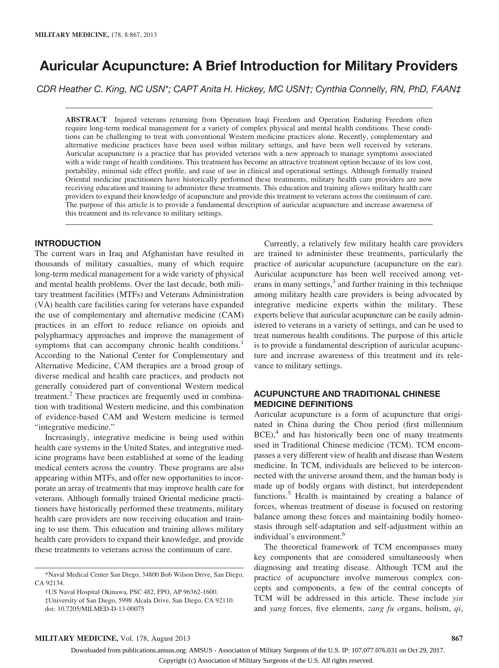# Auricular Acupuncture: A Brief Introduction for Military Providers

CDR Heather C. King, NC USN\*; CAPT Anita H. Hickey, MC USN†; Cynthia Connelly, RN, PhD, FAAN‡

ABSTRACT Injured veterans returning from Operation Iraqi Freedom and Operation Enduring Freedom often require long-term medical management for a variety of complex physical and mental health conditions. These conditions can be challenging to treat with conventional Western medicine practices alone. Recently, complementary and alternative medicine practices have been used within military settings, and have been well received by veterans. Auricular acupuncture is a practice that has provided veterans with a new approach to manage symptoms associated with a wide range of health conditions. This treatment has become an attractive treatment option because of its low cost, portability, minimal side effect profile, and ease of use in clinical and operational settings. Although formally trained Oriental medicine practitioners have historically performed these treatments, military health care providers are now receiving education and training to administer these treatments. This education and training allows military health care providers to expand their knowledge of acupuncture and provide this treatment to veterans across the continuum of care. The purpose of this article is to provide a fundamental description of auricular acupuncture and increase awareness of this treatment and its relevance to military settings.

## INTRODUCTION

The current wars in Iraq and Afghanistan have resulted in thousands of military casualties, many of which require long-term medical management for a wide variety of physical and mental health problems. Over the last decade, both military treatment facilities (MTFs) and Veterans Administration (VA) health care facilities caring for veterans have expanded the use of complementary and alternative medicine (CAM) practices in an effort to reduce reliance on opioids and polypharmacy approaches and improve the management of symptoms that can accompany chronic health conditions.<sup>1</sup> According to the National Center for Complementary and Alternative Medicine, CAM therapies are a broad group of diverse medical and health care practices, and products not generally considered part of conventional Western medical treatment.<sup>2</sup> These practices are frequently used in combination with traditional Western medicine, and this combination of evidence-based CAM and Western medicine is termed "integrative medicine."

Increasingly, integrative medicine is being used within health care systems in the United States, and integrative medicine programs have been established at some of the leading medical centers across the country. These programs are also appearing within MTFs, and offer new opportunities to incorporate an array of treatments that may improve health care for veterans. Although formally trained Oriental medicine practitioners have historically performed these treatments, military health care providers are now receiving education and training to use them. This education and training allows military health care providers to expand their knowledge, and provide these treatments to veterans across the continuum of care.

Currently, a relatively few military health care providers are trained to administer these treatments, particularly the practice of auricular acupuncture (acupuncture on the ear). Auricular acupuncture has been well received among veterans in many settings, $3$  and further training in this technique among military health care providers is being advocated by integrative medicine experts within the military. These experts believe that auricular acupuncture can be easily administered to veterans in a variety of settings, and can be used to treat numerous health conditions. The purpose of this article is to provide a fundamental description of auricular acupuncture and increase awareness of this treatment and its relevance to military settings.

# ACUPUNCTURE AND TRADITIONAL CHINESE MEDICINE DEFINITIONS

Auricular acupuncture is a form of acupuncture that originated in China during the Chou period (first millennium  $BCE$ <sup>4</sup>, and has historically been one of many treatments used in Traditional Chinese medicine (TCM). TCM encompasses a very different view of health and disease than Western medicine. In TCM, individuals are believed to be interconnected with the universe around them, and the human body is made up of bodily organs with distinct, but interdependent functions.<sup>5</sup> Health is maintained by creating a balance of forces, whereas treatment of disease is focused on restoring balance among these forces and maintaining bodily homeostasis through self-adaptation and self-adjustment within an individual's environment.<sup>6</sup>

The theoretical framework of TCM encompasses many key components that are considered simultaneously when diagnosing and treating disease. Although TCM and the practice of acupuncture involve numerous complex concepts and components, a few of the central concepts of TCM will be addressed in this article. These include yin and yang forces, five elements, zang fu organs, holism, qi,

<sup>\*</sup>Naval Medical Center San Diego, 34800 Bob Wilson Drive, San Diego, CA 92134.

<sup>†</sup>US Naval Hospital Okinawa, PSC 482, FPO, AP 96362-1600. ‡University of San Diego, 5998 Alcala Drive, San Diego, CA 92110. doi: 10.7205/MILMED-D-13-00075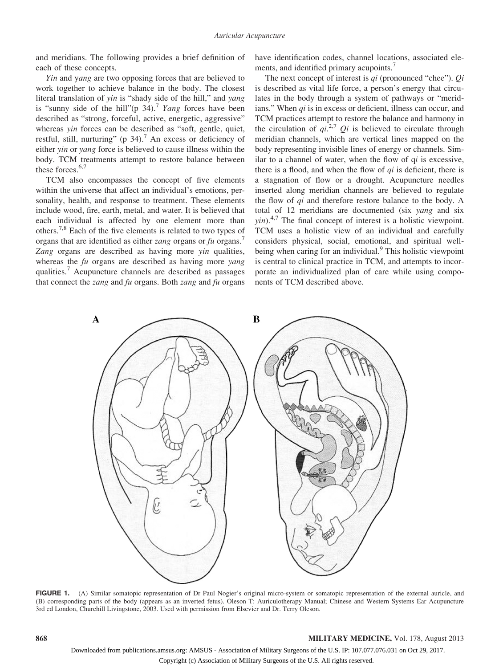and meridians. The following provides a brief definition of each of these concepts.

Yin and yang are two opposing forces that are believed to work together to achieve balance in the body. The closest literal translation of yin is "shady side of the hill," and yang is "sunny side of the hill"(p  $34$ ).<sup>7</sup> Yang forces have been described as "strong, forceful, active, energetic, aggressive" whereas *yin* forces can be described as "soft, gentle, quiet, restful, still, nurturing" (p 34).<sup>7</sup> An excess or deficiency of either yin or yang force is believed to cause illness within the body. TCM treatments attempt to restore balance between these forces.<sup>6,7</sup>

TCM also encompasses the concept of five elements within the universe that affect an individual's emotions, personality, health, and response to treatment. These elements include wood, fire, earth, metal, and water. It is believed that each individual is affected by one element more than others.7,8 Each of the five elements is related to two types of organs that are identified as either *zang* organs or  $\mu$  organs.<sup>7</sup> Zang organs are described as having more *yin* qualities, whereas the  $fu$  organs are described as having more *yang* whereas the  $fu$  organs are described as having more *yang* qualities.<sup>7</sup> Acupuncture channels are described as passages that connect the zang and  $fu$  organs. Both zang and  $fu$  organs have identification codes, channel locations, associated elements, and identified primary acupoints.<sup>7</sup>

The next concept of interest is  $qi$  (pronounced "chee").  $Qi$ is described as vital life force, a person's energy that circulates in the body through a system of pathways or "meridians." When qi is in excess or deficient, illness can occur, and TCM practices attempt to restore the balance and harmony in the circulation of  $qi^{2,7}$  Qi is believed to circulate through<br>meridian channels, which are vertical lines manned on the meridian channels, which are vertical lines mapped on the body representing invisible lines of energy or channels. Similar to a channel of water, when the flow of qi is excessive, there is a flood, and when the flow of  $qi$  is deficient, there is a stagnation of flow or a drought. Acupuncture needles inserted along meridian channels are believed to regulate the flow of  $qi$  and therefore restore balance to the body. A total of 12 meridians are documented (six yang and six  $\gamma$ in).<sup>4,7</sup> The final concept of interest is a holistic viewpoint. TCM uses a holistic view of an individual and carefully considers physical, social, emotional, and spiritual wellbeing when caring for an individual.<sup>9</sup> This holistic viewpoint is central to clinical practice in TCM, and attempts to incorporate an individualized plan of care while using components of TCM described above.



FIGURE 1. (A) Similar somatopic representation of Dr Paul Nogier's original micro-system or somatopic representation of the external auricle, and (B) corresponding parts of the body (appears as an inverted fetus). Oleson T: Auriculotherapy Manual; Chinese and Western Systems Ear Acupuncture 3rd ed London, Churchill Livingstone, 2003. Used with permission from Elsevier and Dr. Terry Oleson.

#### 868 MILITARY MEDICINE, Vol. 178, August 2013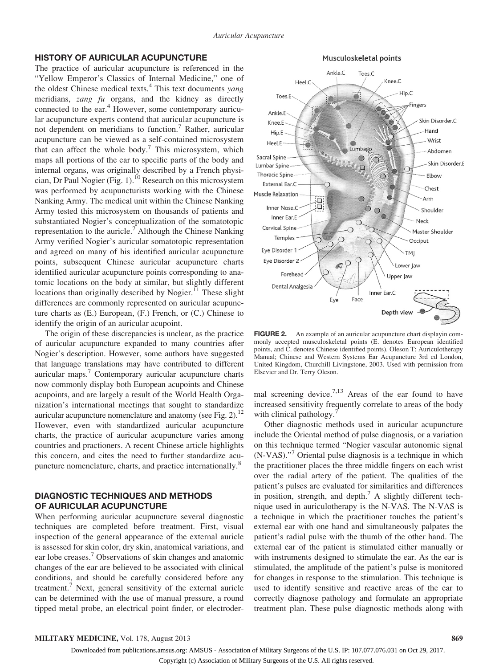## HISTORY OF AURICULAR ACUPUNCTURE

The practice of auricular acupuncture is referenced in the "Yellow Emperor's Classics of Internal Medicine," one of the oldest Chinese medical texts.<sup>4</sup> This text documents yang meridians, zang fu organs, and the kidney as directly connected to the ear.<sup>4</sup> However, some contemporary auricular acupuncture experts contend that auricular acupuncture is not dependent on meridians to function.<sup>7</sup> Rather, auricular acupuncture can be viewed as a self-contained microsystem that can affect the whole body.<sup>7</sup> This microsystem, which maps all portions of the ear to specific parts of the body and internal organs, was originally described by a French physician, Dr Paul Nogier (Fig. 1).<sup>10</sup> Research on this microsystem was performed by acupuncturists working with the Chinese Nanking Army. The medical unit within the Chinese Nanking Army tested this microsystem on thousands of patients and substantiated Nogier's conceptualization of the somatotopic representation to the auricle.<sup>7</sup> Although the Chinese Nanking Army verified Nogier's auricular somatotopic representation and agreed on many of his identified auricular acupuncture points, subsequent Chinese auricular acupuncture charts identified auricular acupuncture points corresponding to anatomic locations on the body at similar, but slightly different locations than originally described by Nogier. $11$  These slight differences are commonly represented on auricular acupuncture charts as (E.) European, (F.) French, or (C.) Chinese to identify the origin of an auricular acupoint.

The origin of these discrepancies is unclear, as the practice of auricular acupuncture expanded to many countries after Nogier's description. However, some authors have suggested that language translations may have contributed to different auricular maps.<sup>7</sup> Contemporary auricular acupuncture charts now commonly display both European acupoints and Chinese acupoints, and are largely a result of the World Health Organization's international meetings that sought to standardize auricular acupuncture nomenclature and anatomy (see Fig.  $2$ ).<sup>12</sup> However, even with standardized auricular acupuncture charts, the practice of auricular acupuncture varies among countries and practioners. A recent Chinese article highlights this concern, and cites the need to further standardize acupuncture nomenclature, charts, and practice internationally.<sup>8</sup>

## DIAGNOSTIC TECHNIQUES AND METHODS OF AURICULAR ACUPUNCTURE

When performing auricular acupuncture several diagnostic techniques are completed before treatment. First, visual inspection of the general appearance of the external auricle is assessed for skin color, dry skin, anatomical variations, and ear lobe creases.<sup>7</sup> Observations of skin changes and anatomic changes of the ear are believed to be associated with clinical conditions, and should be carefully considered before any treatment.<sup>7</sup> Next, general sensitivity of the external auricle can be determined with the use of manual pressure, a round tipped metal probe, an electrical point finder, or electroder-





FIGURE 2. An example of an auricular acupuncture chart displayin commonly accepted musculoskeletal points (E. denotes European identified points, and C. denotes Chinese identified points). Oleson T: Auriculotherapy Manual; Chinese and Western Systems Ear Acupuncture 3rd ed London, United Kingdom, Churchill Livingstone, 2003. Used with permission from Elsevier and Dr. Terry Oleson.

mal screening device.<sup>7,13</sup> Areas of the ear found to have increased sensitivity frequently correlate to areas of the body with clinical pathology.<sup>1</sup>

Other diagnostic methods used in auricular acupuncture include the Oriental method of pulse diagnosis, or a variation on this technique termed "Nogier vascular autonomic signal (N-VAS)."<sup>7</sup> Oriental pulse diagnosis is a technique in which the practitioner places the three middle fingers on each wrist over the radial artery of the patient. The qualities of the patient's pulses are evaluated for similarities and differences in position, strength, and depth.<sup>7</sup> A slightly different technique used in auriculotherapy is the N-VAS. The N-VAS is a technique in which the practitioner touches the patient's external ear with one hand and simultaneously palpates the patient's radial pulse with the thumb of the other hand. The external ear of the patient is stimulated either manually or with instruments designed to stimulate the ear. As the ear is stimulated, the amplitude of the patient's pulse is monitored for changes in response to the stimulation. This technique is used to identify sensitive and reactive areas of the ear to correctly diagnose pathology and formulate an appropriate treatment plan. These pulse diagnostic methods along with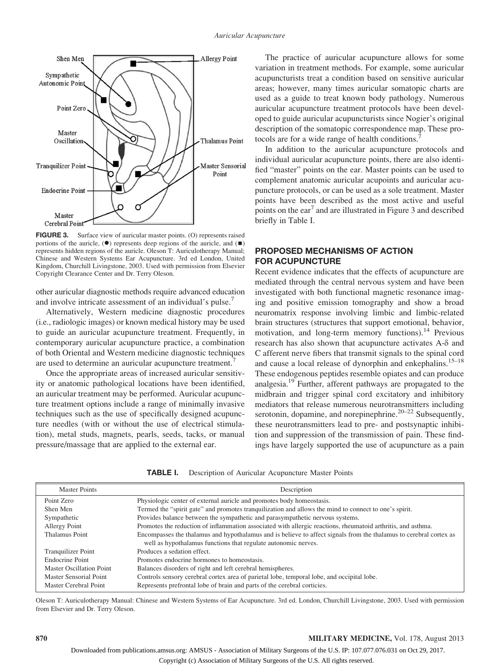

FIGURE 3. Surface view of auricular master points. (O) represents raised portions of the auricle,  $(•)$  represents deep regions of the auricle, and  $(•)$ represents hidden regions of the auricle. Oleson T: Auriculotherapy Manual; Chinese and Western Systems Ear Acupuncture. 3rd ed London, United Kingdom, Churchill Livingstone, 2003. Used with permission from Elsevier Copyright Clearance Center and Dr. Terry Oleson.

other auricular diagnostic methods require advanced education and involve intricate assessment of an individual's pulse.<sup>7</sup>

Alternatively, Western medicine diagnostic procedures (i.e., radiologic images) or known medical history may be used to guide an auricular acupuncture treatment. Frequently, in contemporary auricular acupuncture practice, a combination of both Oriental and Western medicine diagnostic techniques are used to determine an auricular acupuncture treatment.<sup>7</sup>

Once the appropriate areas of increased auricular sensitivity or anatomic pathological locations have been identified, an auricular treatment may be performed. Auricular acupuncture treatment options include a range of minimally invasive techniques such as the use of specifically designed acupuncture needles (with or without the use of electrical stimulation), metal studs, magnets, pearls, seeds, tacks, or manual pressure/massage that are applied to the external ear.

The practice of auricular acupuncture allows for some variation in treatment methods. For example, some auricular acupuncturists treat a condition based on sensitive auricular areas; however, many times auricular somatopic charts are used as a guide to treat known body pathology. Numerous auricular acupuncture treatment protocols have been developed to guide auricular acupuncturists since Nogier's original description of the somatopic correspondence map. These protocols are for a wide range of health conditions.<sup>7</sup>

In addition to the auricular acupuncture protocols and individual auricular acupuncture points, there are also identified "master" points on the ear. Master points can be used to complement anatomic auricular acupoints and auricular acupuncture protocols, or can be used as a sole treatment. Master points have been described as the most active and useful points on the  $ear^7$  and are illustrated in Figure 3 and described briefly in Table I.

# PROPOSED MECHANISMS OF ACTION FOR ACUPUNCTURE

Recent evidence indicates that the effects of acupuncture are mediated through the central nervous system and have been investigated with both functional magnetic resonance imaging and positive emission tomography and show a broad neuromatrix response involving limbic and limbic-related brain structures (structures that support emotional, behavior, motivation, and long-term memory functions).<sup>14</sup> Previous research has also shown that acupuncture activates  $A-\delta$  and C afferent nerve fibers that transmit signals to the spinal cord and cause a local release of dynorphin and enkephalins.<sup>15–18</sup> These endogenous peptides resemble opiates and can produce analgesia.19 Further, afferent pathways are propagated to the midbrain and trigger spinal cord excitatory and inhibitory mediators that release numerous neurotransmitters including serotonin, dopamine, and norepinephrine.<sup>20–22</sup> Subsequently, these neurotransmitters lead to pre- and postsynaptic inhibition and suppression of the transmission of pain. These findings have largely supported the use of acupuncture as a pain

TABLE I. Description of Auricular Acupuncture Master Points

| <b>Master Points</b>      | Description                                                                                                        |
|---------------------------|--------------------------------------------------------------------------------------------------------------------|
| Point Zero                | Physiologic center of external auricle and promotes body homeostasis.                                              |
| Shen Men                  | Termed the "spirit gate" and promotes tranquilization and allows the mind to connect to one's spirit.              |
| Sympathetic               | Provides balance between the sympathetic and parasympathetic nervous systems.                                      |
| Allergy Point             | Promotes the reduction of inflammation associated with allergic reactions, rheumatoid arthritis, and asthma.       |
| <b>Thalamus Point</b>     | Encompasses the thalamus and hypothalamus and is believe to affect signals from the thalamus to cerebral cortex as |
|                           | well as hypothalamus functions that regulate autonomic nerves.                                                     |
| <b>Tranquilizer Point</b> | Produces a sedation effect.                                                                                        |
| Endocrine Point           | Promotes endocrine hormones to homeostasis.                                                                        |
| Master Oscillation Point  | Balances disorders of right and left cerebral hemispheres.                                                         |
| Master Sensorial Point    | Controls sensory cerebral cortex area of parietal lobe, temporal lobe, and occipital lobe.                         |
| Master Cerebral Point     | Represents prefrontal lobe of brain and parts of the cerebral corticies.                                           |

Oleson T: Auriculotherapy Manual: Chinese and Western Systems of Ear Acupuncture. 3rd ed. London, Churchill Livingstone, 2003. Used with permission from Elsevier and Dr. Terry Oleson.

#### 870 MILITARY MEDICINE, Vol. 178, August 2013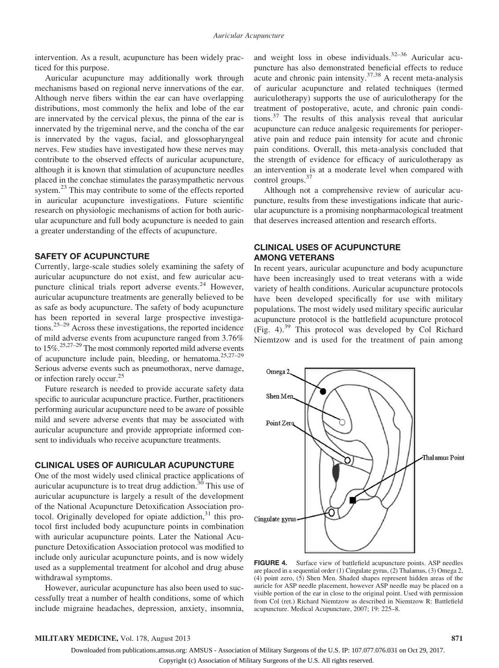intervention. As a result, acupuncture has been widely practiced for this purpose.

Auricular acupuncture may additionally work through mechanisms based on regional nerve innervations of the ear. Although nerve fibers within the ear can have overlapping distributions, most commonly the helix and lobe of the ear are innervated by the cervical plexus, the pinna of the ear is innervated by the trigeminal nerve, and the concha of the ear is innervated by the vagus, facial, and glossopharyngeal nerves. Few studies have investigated how these nerves may contribute to the observed effects of auricular acupuncture, although it is known that stimulation of acupuncture needles placed in the conchae stimulates the parasympathetic nervous system.<sup>23</sup> This may contribute to some of the effects reported in auricular acupuncture investigations. Future scientific research on physiologic mechanisms of action for both auricular acupuncture and full body acupuncture is needed to gain a greater understanding of the effects of acupuncture.

## SAFETY OF ACUPUNCTURE

Currently, large-scale studies solely examining the safety of auricular acupuncture do not exist, and few auricular acupuncture clinical trials report adverse events.<sup>24</sup> However, auricular acupuncture treatments are generally believed to be as safe as body acupuncture. The safety of body acupuncture has been reported in several large prospective investigations.25–29 Across these investigations, the reported incidence of mild adverse events from acupuncture ranged from 3.76% to  $15\%$ <sup>25,27–29</sup> The most commonly reported mild adverse events of acupuncture include pain, bleeding, or hematoma.<sup>25,27-29</sup> Serious adverse events such as pneumothorax, nerve damage, or infection rarely occur.<sup>25</sup>

Future research is needed to provide accurate safety data specific to auricular acupuncture practice. Further, practitioners performing auricular acupuncture need to be aware of possible mild and severe adverse events that may be associated with auricular acupuncture and provide appropriate informed consent to individuals who receive acupuncture treatments.

### CLINICAL USES OF AURICULAR ACUPUNCTURE

One of the most widely used clinical practice applications of auricular acupuncture is to treat drug addiction. $30$  This use of auricular acupuncture is largely a result of the development of the National Acupuncture Detoxification Association protocol. Originally developed for opiate addiction, $31$  this protocol first included body acupuncture points in combination with auricular acupuncture points. Later the National Acupuncture Detoxification Association protocol was modified to include only auricular acupuncture points, and is now widely used as a supplemental treatment for alcohol and drug abuse withdrawal symptoms.

However, auricular acupuncture has also been used to successfully treat a number of health conditions, some of which include migraine headaches, depression, anxiety, insomnia, and weight loss in obese individuals.<sup>32–36</sup> Auricular acupuncture has also demonstrated beneficial effects to reduce acute and chronic pain intensity. $37,38$  A recent meta-analysis of auricular acupuncture and related techniques (termed auriculotherapy) supports the use of auriculotherapy for the treatment of postoperative, acute, and chronic pain conditions.<sup>37</sup> The results of this analysis reveal that auricular acupuncture can reduce analgesic requirements for perioperative pain and reduce pain intensity for acute and chronic pain conditions. Overall, this meta-analysis concluded that the strength of evidence for efficacy of auriculotherapy as an intervention is at a moderate level when compared with control groups.<sup>37</sup>

Although not a comprehensive review of auricular acupuncture, results from these investigations indicate that auricular acupuncture is a promising nonpharmacological treatment that deserves increased attention and research efforts.

## CLINICAL USES OF ACUPUNCTURE AMONG VETERANS

In recent years, auricular acupuncture and body acupuncture have been increasingly used to treat veterans with a wide variety of health conditions. Auricular acupuncture protocols have been developed specifically for use with military populations. The most widely used military specific auricular acupuncture protocol is the battlefield acupuncture protocol (Fig. 4).<sup>39</sup> This protocol was developed by Col Richard Niemtzow and is used for the treatment of pain among



FIGURE 4. Surface view of battlefield acupuncture points. ASP needles are placed in a sequential order (1) Cingulate gyrus, (2) Thalamus, (3) Omega 2, (4) point zero, (5) Shen Men. Shaded shapes represent hidden areas of the auricle for ASP needle placement, however ASP needle may be placed on a visible portion of the ear in close to the original point. Used with permission from Col (ret.) Richard Niemtzow as described in Niemtzow R: Battlefield acupuncture. Medical Acupuncture, 2007; 19: 225–8.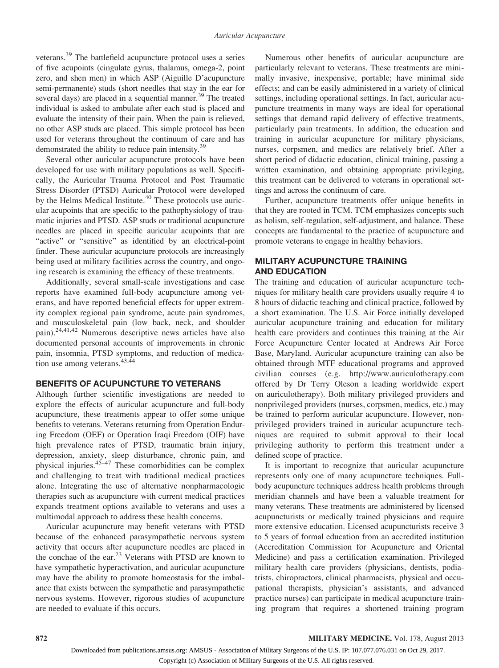veterans.39 The battlefield acupuncture protocol uses a series of five acupoints (cingulate gyrus, thalamus, omega-2, point zero, and shen men) in which ASP (Aiguille D'acupuncture semi-permanente) studs (short needles that stay in the ear for several days) are placed in a sequential manner.<sup>39</sup> The treated individual is asked to ambulate after each stud is placed and evaluate the intensity of their pain. When the pain is relieved, no other ASP studs are placed. This simple protocol has been used for veterans throughout the continuum of care and has demonstrated the ability to reduce pain intensity.<sup>39</sup>

Several other auricular acupuncture protocols have been developed for use with military populations as well. Specifically, the Auricular Trauma Protocol and Post Traumatic Stress Disorder (PTSD) Auricular Protocol were developed by the Helms Medical Institute.<sup>40</sup> These protocols use auricular acupoints that are specific to the pathophysiology of traumatic injuries and PTSD. ASP studs or traditional acupuncture needles are placed in specific auricular acupoints that are "active" or "sensitive" as identified by an electrical-point finder. These auricular acupuncture protocols are increasingly being used at military facilities across the country, and ongoing research is examining the efficacy of these treatments.

Additionally, several small-scale investigations and case reports have examined full-body acupuncture among veterans, and have reported beneficial effects for upper extremity complex regional pain syndrome, acute pain syndromes, and musculoskeletal pain (low back, neck, and shoulder pain).24,41,42 Numerous descriptive news articles have also documented personal accounts of improvements in chronic pain, insomnia, PTSD symptoms, and reduction of medication use among veterans. $43,44$ 

### BENEFITS OF ACUPUNCTURE TO VETERANS

Although further scientific investigations are needed to explore the effects of auricular acupuncture and full-body acupuncture, these treatments appear to offer some unique benefits to veterans. Veterans returning from Operation Enduring Freedom (OEF) or Operation Iraqi Freedom (OIF) have high prevalence rates of PTSD, traumatic brain injury, depression, anxiety, sleep disturbance, chronic pain, and physical injuries.45–47 These comorbidities can be complex and challenging to treat with traditional medical practices alone. Integrating the use of alternative nonpharmacologic therapies such as acupuncture with current medical practices expands treatment options available to veterans and uses a multimodal approach to address these health concerns.

Auricular acupuncture may benefit veterans with PTSD because of the enhanced parasympathetic nervous system activity that occurs after acupuncture needles are placed in the conchae of the ear.<sup>23</sup> Veterans with PTSD are known to have sympathetic hyperactivation, and auricular acupuncture may have the ability to promote homeostasis for the imbalance that exists between the sympathetic and parasympathetic nervous systems. However, rigorous studies of acupuncture are needed to evaluate if this occurs.

Numerous other benefits of auricular acupuncture are particularly relevant to veterans. These treatments are minimally invasive, inexpensive, portable; have minimal side effects; and can be easily administered in a variety of clinical settings, including operational settings. In fact, auricular acupuncture treatments in many ways are ideal for operational settings that demand rapid delivery of effective treatments, particularly pain treatments. In addition, the education and training in auricular acupuncture for military physicians, nurses, corpsmen, and medics are relatively brief. After a short period of didactic education, clinical training, passing a written examination, and obtaining appropriate privileging, this treatment can be delivered to veterans in operational settings and across the continuum of care.

Further, acupuncture treatments offer unique benefits in that they are rooted in TCM. TCM emphasizes concepts such as holism, self-regulation, self-adjustment, and balance. These concepts are fundamental to the practice of acupuncture and promote veterans to engage in healthy behaviors.

## MILITARY ACUPUNCTURE TRAINING AND EDUCATION

The training and education of auricular acupuncture techniques for military health care providers usually require 4 to 8 hours of didactic teaching and clinical practice, followed by a short examination. The U.S. Air Force initially developed auricular acupuncture training and education for military health care providers and continues this training at the Air Force Acupuncture Center located at Andrews Air Force Base, Maryland. Auricular acupuncture training can also be obtained through MTF educational programs and approved civilian courses (e.g. http://www.auriculotherapy.com offered by Dr Terry Oleson a leading worldwide expert on auriculotherapy). Both military privileged providers and nonprivileged providers (nurses, corpsmen, medics, etc.) may be trained to perform auricular acupuncture. However, nonprivileged providers trained in auricular acupuncture techniques are required to submit approval to their local privileging authority to perform this treatment under a defined scope of practice.

It is important to recognize that auricular acupuncture represents only one of many acupuncture techniques. Fullbody acupuncture techniques address health problems through meridian channels and have been a valuable treatment for many veterans. These treatments are administered by licensed acupuncturists or medically trained physicians and require more extensive education. Licensed acupuncturists receive 3 to 5 years of formal education from an accredited institution (Accreditation Commission for Acupuncture and Oriental Medicine) and pass a certification examination. Privileged military health care providers (physicians, dentists, podiatrists, chiropractors, clinical pharmacists, physical and occupational therapists, physician's assistants, and advanced practice nurses) can participate in medical acupuncture training program that requires a shortened training program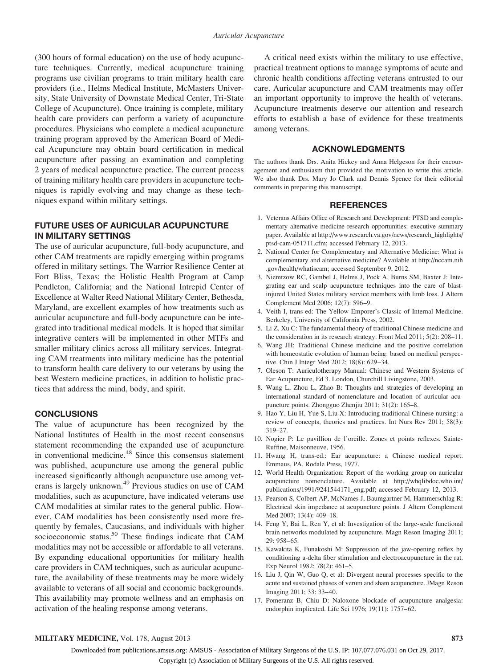(300 hours of formal education) on the use of body acupuncture techniques. Currently, medical acupuncture training programs use civilian programs to train military health care providers (i.e., Helms Medical Institute, McMasters University, State University of Downstate Medical Center, Tri-State College of Acupuncture). Once training is complete, military health care providers can perform a variety of acupuncture procedures. Physicians who complete a medical acupuncture training program approved by the American Board of Medical Acupuncture may obtain board certification in medical acupuncture after passing an examination and completing 2 years of medical acupuncture practice. The current process of training military health care providers in acupuncture techniques is rapidly evolving and may change as these techniques expand within military settings.

# FUTURE USES OF AURICULAR ACUPUNCTURE IN MILITARY SETTINGS

The use of auricular acupuncture, full-body acupuncture, and other CAM treatments are rapidly emerging within programs offered in military settings. The Warrior Resilience Center at Fort Bliss, Texas; the Holistic Health Program at Camp Pendleton, California; and the National Intrepid Center of Excellence at Walter Reed National Military Center, Bethesda, Maryland, are excellent examples of how treatments such as auricular acupuncture and full-body acupuncture can be integrated into traditional medical models. It is hoped that similar integrative centers will be implemented in other MTFs and smaller military clinics across all military services. Integrating CAM treatments into military medicine has the potential to transform health care delivery to our veterans by using the best Western medicine practices, in addition to holistic practices that address the mind, body, and spirit.

#### **CONCLUSIONS**

The value of acupuncture has been recognized by the National Institutes of Health in the most recent consensus statement recommending the expanded use of acupuncture in conventional medicine.<sup>48</sup> Since this consensus statement was published, acupuncture use among the general public increased significantly although acupuncture use among veterans is largely unknown.<sup>49</sup> Previous studies on use of CAM modalities, such as acupuncture, have indicated veterans use CAM modalities at similar rates to the general public. However, CAM modalities has been consistently used more frequently by females, Caucasians, and individuals with higher socioeconomic status.<sup>50</sup> These findings indicate that CAM modalities may not be accessible or affordable to all veterans. By expanding educational opportunities for military health care providers in CAM techniques, such as auricular acupuncture, the availability of these treatments may be more widely available to veterans of all social and economic backgrounds. This availability may promote wellness and an emphasis on activation of the healing response among veterans.

A critical need exists within the military to use effective, practical treatment options to manage symptoms of acute and chronic health conditions affecting veterans entrusted to our care. Auricular acupuncture and CAM treatments may offer an important opportunity to improve the health of veterans. Acupuncture treatments deserve our attention and research efforts to establish a base of evidence for these treatments among veterans.

#### ACKNOWLEDGMENTS

The authors thank Drs. Anita Hickey and Anna Helgeson for their encouragement and enthusiasm that provided the motivation to write this article. We also thank Drs. Mary Jo Clark and Dennis Spence for their editorial comments in preparing this manuscript.

### **REFERENCES**

- 1. Veterans Affairs Office of Research and Development: PTSD and complementary alternative medicine research opportunities: executive summary paper. Available at http://www.research.va.gov/news/research\_highlights/ ptsd-cam-051711.cfm; accessed February 12, 2013.
- 2. National Center for Complementary and Alternative Medicine: What is complementary and alternative medicine? Available at http://nccam.nih .gov/health/whatiscam; accessed September 9, 2012.
- 3. Niemtzow RC, Gambel J, Helms J, Pock A, Burns SM, Baxter J: Integrating ear and scalp acupuncture techniques into the care of blastinjured United States military service members with limb loss. J Altern Complement Med 2006; 12(7): 596–9.
- 4. Veith I, trans-ed: The Yellow Emporer's Classic of Internal Medicine. Berkeley, University of California Press, 2002.
- 5. Li Z, Xu C: The fundamental theory of traditional Chinese medicine and the consideration in its research strategy. Front Med 2011; 5(2): 208–11.
- 6. Wang JH: Traditional Chinese medicine and the positive correlation with homeostatic evolution of human being: based on medical perspective. Chin J Integr Med 2012; 18(8): 629–34.
- 7. Oleson T: Auriculotherapy Manual: Chinese and Western Systems of Ear Acupuncture, Ed 3. London, Churchill Livingstone, 2003.
- 8. Wang L, Zhou L, Zhao B: Thoughts and strategies of developing an international standard of nomenclature and location of auricular acupuncture points. Zhongguo Zhenjiu 2011; 31(2): 165–8.
- 9. Hao Y, Liu H, Yue S, Liu X: Introducing traditional Chinese nursing: a review of concepts, theories and practices. Int Nurs Rev 2011; 58(3): 319–27.
- 10. Nogier P: Le pavillion de l'oreille. Zones et points reflexes. Sainte-Ruffine, Maisonneuve, 1956.
- 11. Hwang H, trans-ed.: Ear acupuncture: a Chinese medical report. Emmaus, PA, Rodale Press, 1977.
- 12. World Health Organization: Report of the working group on auricular acupuncture nomenclature. Available at http://whqlibdoc.who.int/ publications/1991/9241544171\_eng.pdf; accessed February 12, 2013.
- 13. Pearson S, Colbert AP, McNames J, Baumgartner M, Hammerschlag R: Electrical skin impedance at acupuncture points. J Altern Complement Med 2007; 13(4): 409–18.
- 14. Feng Y, Bai L, Ren Y, et al: Investigation of the large-scale functional brain networks modulated by acupuncture. Magn Reson Imaging 2011; 29: 958–65.
- 15. Kawakita K, Funakoshi M: Suppression of the jaw-opening reflex by conditioning a-delta fiber stimulation and electroacupuncture in the rat. Exp Neurol 1982; 78(2): 461–5.
- 16. Liu J, Qin W, Guo Q, et al: Divergent neural processes specific to the acute and sustained phases of verum and sham acupuncture. JMagn Reson Imaging 2011; 33: 33–40.
- 17. Pomeranz B, Chiu D: Naloxone blockade of acupuncture analgesia: endorphin implicated. Life Sci 1976; 19(11): 1757–62.

#### MILITARY MEDICINE, Vol. 178, August 2013 873